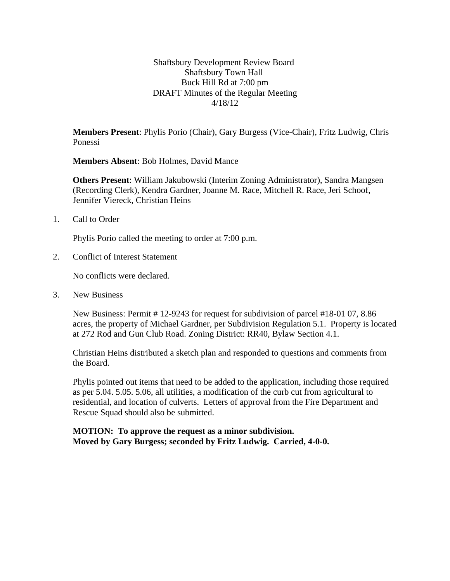Shaftsbury Development Review Board Shaftsbury Town Hall Buck Hill Rd at 7:00 pm DRAFT Minutes of the Regular Meeting 4/18/12

**Members Present**: Phylis Porio (Chair), Gary Burgess (Vice-Chair), Fritz Ludwig, Chris Ponessi

**Members Absent**: Bob Holmes, David Mance

**Others Present**: William Jakubowski (Interim Zoning Administrator), Sandra Mangsen (Recording Clerk), Kendra Gardner*,* Joanne M. Race, Mitchell R. Race, Jeri Schoof, Jennifer Viereck, Christian Heins

1. Call to Order

Phylis Porio called the meeting to order at 7:00 p.m.

2. Conflict of Interest Statement

No conflicts were declared.

3. New Business

New Business: Permit # 12-9243 for request for subdivision of parcel #18-01 07, 8.86 acres, the property of Michael Gardner, per Subdivision Regulation 5.1. Property is located at 272 Rod and Gun Club Road. Zoning District: RR40, Bylaw Section 4.1.

Christian Heins distributed a sketch plan and responded to questions and comments from the Board.

Phylis pointed out items that need to be added to the application, including those required as per 5.04. 5.05. 5.06, all utilities, a modification of the curb cut from agricultural to residential, and location of culverts. Letters of approval from the Fire Department and Rescue Squad should also be submitted.

**MOTION: To approve the request as a minor subdivision. Moved by Gary Burgess; seconded by Fritz Ludwig. Carried, 4-0-0.**